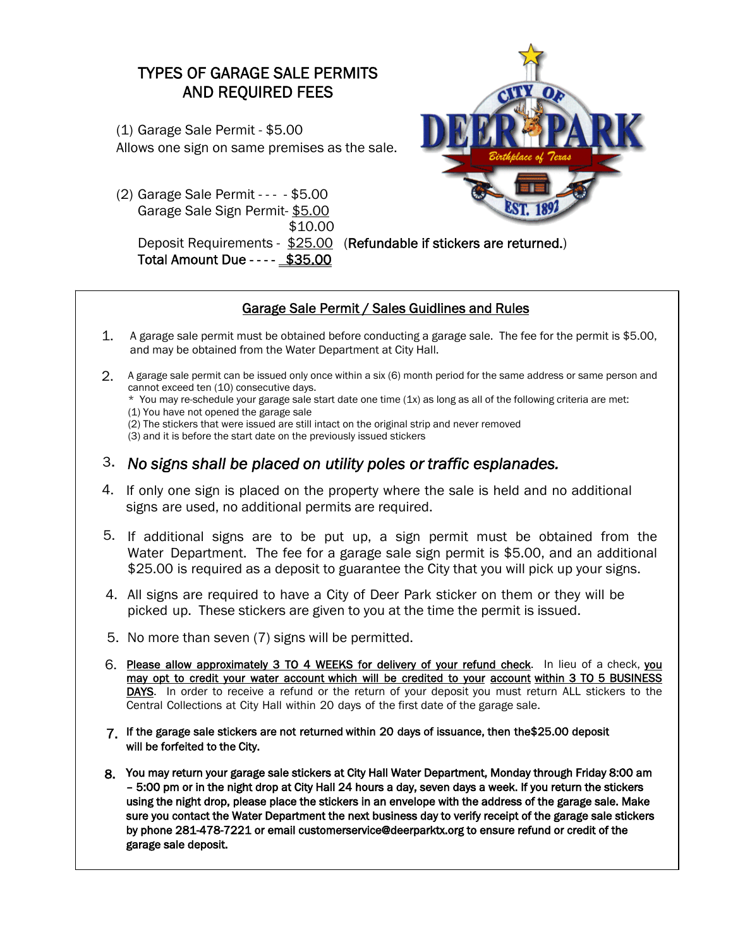## TYPES OF GARAGE SALE PERMITS AND REQUIRED FEES

(1) Garage Sale Permit - \$5.00 Allows one sign on same premises as the sale.

(2) Garage Sale Permit - - - - \$5.00 Garage Sale Sign Permit- \$5.00 \$10.00

Total Amount Due - - - - \$35.00



Deposit Requirements - \$25.00 (Refundable if stickers are returned.)

## Garage Sale Permit / Sales Guidlines and Rules

- 1. A garage sale permit must be obtained before conducting a garage sale. The fee for the permit is \$5.00, and may be obtained from the Water Department at City Hall.
- 2. A garage sale permit can be issued only once within a six (6) month period for the same address or same person and cannot exceed ten (10) consecutive days.
	- \* You may re-schedule your garage sale start date one time (1x) as long as all of the following criteria are met:
	- (1) You have not opened the garage sale
	- (2) The stickers that were issued are still intact on the original strip and never removed

(3) and it is before the start date on the previously issued stickers

- 3. *No signs shall be placed on utility poles or traffic esplanades.*
- 4. If only one sign is placed on the property where the sale is held and no additional signs are used, no additional permits are required.
- 5. If additional signs are to be put up, a sign permit must be obtained from the Water Department. The fee for a garage sale sign permit is \$5.00, and an additional \$25.00 is required as a deposit to guarantee the City that you will pick up your signs.
- 4. All signs are required to have a City of Deer Park sticker on them or they will be picked up. These stickers are given to you at the time the permit is issued.
- 5. No more than seven (7) signs will be permitted.
- 6. Please allow approximately 3 TO 4 WEEKS for delivery of your refund check. In lieu of a check, you may opt to credit your water account which will be credited to your account within 3 TO 5 BUSINESS DAYS. In order to receive a refund or the return of your deposit you must return ALL stickers to the Central Collections at City Hall within 20 days of the first date of the garage sale.
- 7. If the garage sale stickers are not returned within 20 days of issuance, then the\$25.00 deposit will be forfeited to the City.
- 8. You may return your garage sale stickers at City Hall Water Department, Monday through Friday 8:00 am – 5:00 pm or in the night drop at City Hall 24 hours a day, seven days a week. If you return the stickers using the night drop, please place the stickers in an envelope with the address of the garage sale. Make sure you contact the Water Department the next business day to verify receipt of the garage sale stickers by phone 281-478-7221 or email customerservice@deerparktx.org to ensure refund or credit of the garage sale deposit.